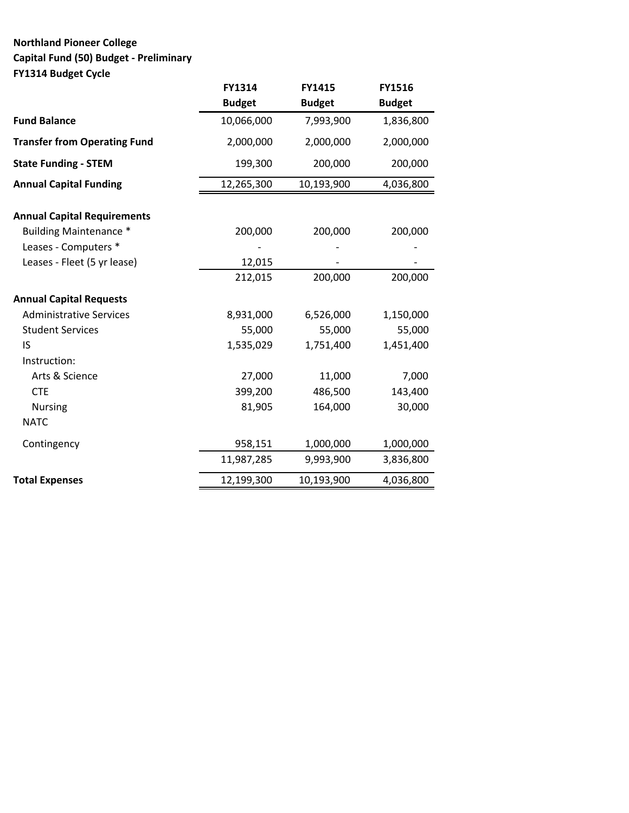# **Northland Pioneer College Capital Fund (50) Budget - Preliminary FY1314 Budget Cycle**

|                                     | FY1314        | FY1415        | FY1516        |
|-------------------------------------|---------------|---------------|---------------|
|                                     | <b>Budget</b> | <b>Budget</b> | <b>Budget</b> |
| <b>Fund Balance</b>                 | 10,066,000    | 7,993,900     | 1,836,800     |
| <b>Transfer from Operating Fund</b> | 2,000,000     | 2,000,000     | 2,000,000     |
| <b>State Funding - STEM</b>         | 199,300       | 200,000       | 200,000       |
| <b>Annual Capital Funding</b>       | 12,265,300    | 10,193,900    | 4,036,800     |
| <b>Annual Capital Requirements</b>  |               |               |               |
| <b>Building Maintenance *</b>       | 200,000       | 200,000       | 200,000       |
| Leases - Computers *                |               |               |               |
| Leases - Fleet (5 yr lease)         | 12,015        |               |               |
|                                     | 212,015       | 200,000       | 200,000       |
| <b>Annual Capital Requests</b>      |               |               |               |
| <b>Administrative Services</b>      | 8,931,000     | 6,526,000     | 1,150,000     |
| <b>Student Services</b>             | 55,000        | 55,000        | 55,000        |
| IS                                  | 1,535,029     | 1,751,400     | 1,451,400     |
| Instruction:                        |               |               |               |
| Arts & Science                      | 27,000        | 11,000        | 7,000         |
| <b>CTE</b>                          | 399,200       | 486,500       | 143,400       |
| <b>Nursing</b>                      | 81,905        | 164,000       | 30,000        |
| <b>NATC</b>                         |               |               |               |
| Contingency                         | 958,151       | 1,000,000     | 1,000,000     |
|                                     | 11,987,285    | 9,993,900     | 3,836,800     |
| <b>Total Expenses</b>               | 12,199,300    | 10,193,900    | 4,036,800     |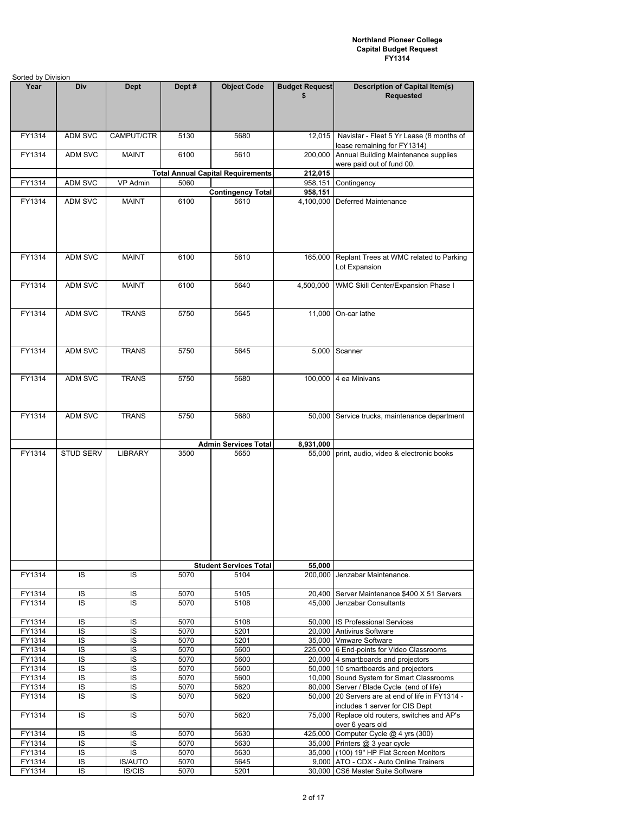| Sorted by Division |                  |                |              |                                          |                       |                                                                        |
|--------------------|------------------|----------------|--------------|------------------------------------------|-----------------------|------------------------------------------------------------------------|
| Year               | Div              | <b>Dept</b>    | Dept#        | <b>Object Code</b>                       | <b>Budget Request</b> | <b>Description of Capital Item(s)</b>                                  |
|                    |                  |                |              |                                          | \$                    | <b>Requested</b>                                                       |
|                    |                  |                |              |                                          |                       |                                                                        |
|                    |                  |                |              |                                          |                       |                                                                        |
|                    |                  |                |              |                                          |                       |                                                                        |
| FY1314             | ADM SVC          | CAMPUT/CTR     | 5130         | 5680                                     | 12,015                | Navistar - Fleet 5 Yr Lease (8 months of                               |
|                    |                  |                |              |                                          |                       | lease remaining for FY1314)                                            |
| FY1314             | ADM SVC          | <b>MAINT</b>   | 6100         | 5610                                     | 200,000               | Annual Building Maintenance supplies                                   |
|                    |                  |                |              | <b>Total Annual Capital Requirements</b> | 212,015               | were paid out of fund 00.                                              |
| FY1314             | ADM SVC          | VP Admin       | 5060         |                                          | 958,151               | Contingency                                                            |
|                    |                  |                |              | <b>Contingency Total</b>                 | 958,151               |                                                                        |
| FY1314             | ADM SVC          | <b>MAINT</b>   | 6100         | 5610                                     | 4,100,000             | Deferred Maintenance                                                   |
|                    |                  |                |              |                                          |                       |                                                                        |
|                    |                  |                |              |                                          |                       |                                                                        |
|                    |                  |                |              |                                          |                       |                                                                        |
|                    |                  |                |              |                                          |                       |                                                                        |
|                    |                  |                |              |                                          |                       |                                                                        |
| FY1314             | ADM SVC          | <b>MAINT</b>   | 6100         | 5610                                     | 165,000               | Replant Trees at WMC related to Parking                                |
|                    |                  |                |              |                                          |                       | Lot Expansion                                                          |
| FY1314             | ADM SVC          |                | 6100         | 5640                                     |                       | WMC Skill Center/Expansion Phase I                                     |
|                    |                  | <b>MAINT</b>   |              |                                          | 4,500,000             |                                                                        |
|                    |                  |                |              |                                          |                       |                                                                        |
| FY1314             | ADM SVC          | <b>TRANS</b>   | 5750         | 5645                                     | 11,000                | On-car lathe                                                           |
|                    |                  |                |              |                                          |                       |                                                                        |
|                    |                  |                |              |                                          |                       |                                                                        |
|                    |                  |                |              |                                          |                       |                                                                        |
| FY1314             | ADM SVC          | <b>TRANS</b>   | 5750         | 5645                                     |                       | 5,000 Scanner                                                          |
|                    |                  |                |              |                                          |                       |                                                                        |
|                    |                  |                |              |                                          |                       |                                                                        |
| FY1314             | ADM SVC          | <b>TRANS</b>   | 5750         | 5680                                     |                       | 100,000 4 ea Minivans                                                  |
|                    |                  |                |              |                                          |                       |                                                                        |
|                    |                  |                |              |                                          |                       |                                                                        |
| FY1314             | ADM SVC          | <b>TRANS</b>   | 5750         | 5680                                     |                       | 50,000 Service trucks, maintenance department                          |
|                    |                  |                |              |                                          |                       |                                                                        |
|                    |                  |                |              |                                          |                       |                                                                        |
|                    |                  |                |              | <b>Admin Services Total</b>              | 8,931,000             |                                                                        |
| FY1314             | <b>STUD SERV</b> | LIBRARY        | 3500         | 5650                                     | 55,000                | print, audio, video & electronic books                                 |
|                    |                  |                |              |                                          |                       |                                                                        |
|                    |                  |                |              |                                          |                       |                                                                        |
|                    |                  |                |              |                                          |                       |                                                                        |
|                    |                  |                |              |                                          |                       |                                                                        |
|                    |                  |                |              |                                          |                       |                                                                        |
|                    |                  |                |              |                                          |                       |                                                                        |
|                    |                  |                |              |                                          |                       |                                                                        |
|                    |                  |                |              |                                          |                       |                                                                        |
|                    |                  |                |              |                                          |                       |                                                                        |
|                    |                  |                |              |                                          |                       |                                                                        |
|                    |                  |                |              | <b>Student Services Total</b>            | 55,000                |                                                                        |
| FY1314             | IS               | IS             | 5070         | 5104                                     | 200,000               | Jenzabar Maintenance.                                                  |
|                    |                  |                |              |                                          |                       |                                                                        |
| FY1314             | IS               | IS             | 5070         | 5105                                     | 20,400                | Server Maintenance \$400 X 51 Servers                                  |
| FY1314             | IS               | IS             | 5070         | 5108                                     | 45,000                | Jenzabar Consultants                                                   |
| FY1314             | IS               | IS             | 5070         | 5108                                     |                       | 50,000 IS Professional Services                                        |
| FY1314             | IS               | $\overline{S}$ | 5070         | 5201                                     |                       | 20,000 Antivirus Software                                              |
| FY1314             | IS               | IS             | 5070         | 5201                                     |                       | 35,000 Vmware Software                                                 |
| FY1314             | IS               | IS             | 5070         | 5600                                     |                       | 225,000 6 End-points for Video Classrooms                              |
| FY1314             | IS               | IS             | 5070         | 5600                                     |                       | 20,000 4 smartboards and projectors                                    |
| FY1314             | IS               | IS             | 5070         | 5600                                     |                       | 50,000 10 smartboards and projectors                                   |
| FY1314             | IS               | IS             | 5070         | 5600                                     |                       | 10,000 Sound System for Smart Classrooms                               |
| FY1314             | IS               | IS             | 5070         | 5620                                     |                       | 80,000 Server / Blade Cycle (end of life)                              |
| FY1314             | IS               | IS             | 5070         | 5620                                     |                       | 50,000 20 Servers are at end of life in FY1314 -                       |
|                    |                  |                |              |                                          |                       | includes 1 server for CIS Dept                                         |
| FY1314             | IS.              | IS             | 5070         | 5620                                     | 75,000                | Replace old routers, switches and AP's                                 |
|                    |                  |                |              |                                          |                       | over 6 years old                                                       |
| FY1314             | IS<br>IS         | IS<br>IS       | 5070         | 5630                                     |                       | 425,000 Computer Cycle @ 4 yrs (300)<br>35,000 Printers @ 3 year cycle |
| FY1314<br>FY1314   | IS               | IS             | 5070<br>5070 | 5630<br>5630                             |                       | 35,000 (100) 19" HP Flat Screen Monitors                               |
| FY1314             | IS               | <b>IS/AUTO</b> | 5070         | 5645                                     |                       | 9,000   ATO - CDX - Auto Online Trainers                               |
| FY1314             | IS               | IS/CIS         | 5070         | 5201                                     |                       | 30,000 CS6 Master Suite Software                                       |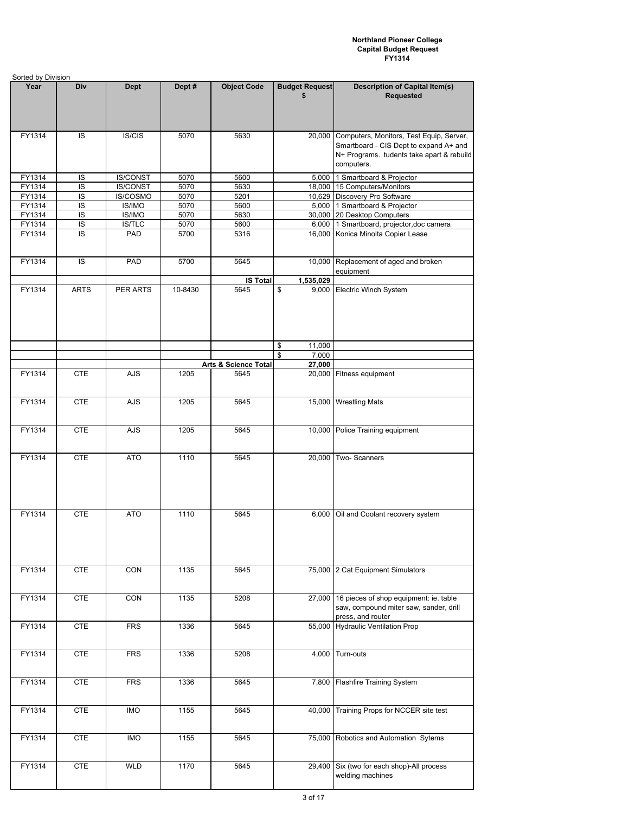|                  | Sorted by Division |                  |              |                      |                             |                                                                                                                                               |  |  |  |
|------------------|--------------------|------------------|--------------|----------------------|-----------------------------|-----------------------------------------------------------------------------------------------------------------------------------------------|--|--|--|
| Year             | Div                | <b>Dept</b>      | Dept#        | <b>Object Code</b>   | <b>Budget Request</b><br>\$ | <b>Description of Capital Item(s)</b><br><b>Requested</b>                                                                                     |  |  |  |
| FY1314           | IS                 | IS/CIS           | 5070         | 5630                 | 20,000                      | Computers, Monitors, Test Equip, Server,<br>Smartboard - CIS Dept to expand A+ and<br>N+ Programs. tudents take apart & rebuild<br>computers. |  |  |  |
| FY1314           | IS                 | <b>IS/CONST</b>  | 5070         | 5600                 |                             | 5,000 1 Smartboard & Projector                                                                                                                |  |  |  |
| FY1314           | IS                 | <b>IS/CONST</b>  | 5070         | 5630                 |                             | 18,000 15 Computers/Monitors                                                                                                                  |  |  |  |
| FY1314           | IS                 | IS/COSMO         | 5070         | 5201                 |                             | 10,629 Discovery Pro Software                                                                                                                 |  |  |  |
| FY1314<br>FY1314 | IS<br>IS           | IS/IMO<br>IS/IMO | 5070<br>5070 | 5600<br>5630         |                             | 5,000 1 Smartboard & Projector<br>30,000 20 Desktop Computers                                                                                 |  |  |  |
| FY1314           | IS                 | IS/TLC           | 5070         | 5600                 |                             | 6,000 1 Smartboard, projector, doc camera                                                                                                     |  |  |  |
| FY1314           | IS                 | PAD              | 5700         | 5316                 | 16,000                      | Konica Minolta Copier Lease                                                                                                                   |  |  |  |
| FY1314           | IS                 | PAD              | 5700         | 5645                 | 10,000                      | Replacement of aged and broken<br>equipment                                                                                                   |  |  |  |
|                  |                    |                  |              | <b>IS Total</b>      | 1,535,029                   |                                                                                                                                               |  |  |  |
| FY1314           | <b>ARTS</b>        | PER ARTS         | 10-8430      | 5645                 | \$<br>9,000<br>\$<br>11,000 | Electric Winch System                                                                                                                         |  |  |  |
|                  |                    |                  |              |                      | \$<br>7,000                 |                                                                                                                                               |  |  |  |
|                  |                    |                  |              | Arts & Science Total | 27,000                      |                                                                                                                                               |  |  |  |
| FY1314           | <b>CTE</b>         | <b>AJS</b>       | 1205         | 5645                 | 20,000                      | Fitness equipment                                                                                                                             |  |  |  |
| FY1314           | <b>CTE</b>         | <b>AJS</b>       | 1205         | 5645                 | 15,000                      | <b>Wrestling Mats</b>                                                                                                                         |  |  |  |
| FY1314           | <b>CTE</b>         | <b>AJS</b>       | 1205         | 5645                 | 10,000                      | Police Training equipment                                                                                                                     |  |  |  |
| FY1314           | <b>CTE</b>         | <b>ATO</b>       | 1110         | 5645                 | 20,000                      | Two-Scanners                                                                                                                                  |  |  |  |
| FY1314           | <b>CTE</b>         | <b>ATO</b>       | 1110         | 5645                 | 6,000                       | Oil and Coolant recovery system                                                                                                               |  |  |  |
| FY1314           | <b>CTE</b>         | CON              | 1135         | 5645                 | 75,000                      | 2 Cat Equipment Simulators                                                                                                                    |  |  |  |
| FY1314           | CTE                | CON              | 1135         | 5208                 | 27,000                      | 16 pieces of shop equipment: ie. table<br>saw, compound miter saw, sander, drill<br>press, and router                                         |  |  |  |
| FY1314           | <b>CTE</b>         | <b>FRS</b>       | 1336         | 5645                 | 55,000                      | <b>Hydraulic Ventilation Prop</b>                                                                                                             |  |  |  |
| FY1314           | <b>CTE</b>         | <b>FRS</b>       | 1336         | 5208                 | 4,000                       | Turn-outs                                                                                                                                     |  |  |  |
| FY1314           | <b>CTE</b>         | <b>FRS</b>       | 1336         | 5645                 | 7,800                       | <b>Flashfire Training System</b>                                                                                                              |  |  |  |
| FY1314           | <b>CTE</b>         | <b>IMO</b>       | 1155         | 5645                 | 40,000                      | Training Props for NCCER site test                                                                                                            |  |  |  |
| FY1314           | <b>CTE</b>         | <b>IMO</b>       | 1155         | 5645                 | 75,000                      | Robotics and Automation Sytems                                                                                                                |  |  |  |
| FY1314           | <b>CTE</b>         | <b>WLD</b>       | 1170         | 5645                 | 29,400                      | Six (two for each shop)-All process<br>welding machines                                                                                       |  |  |  |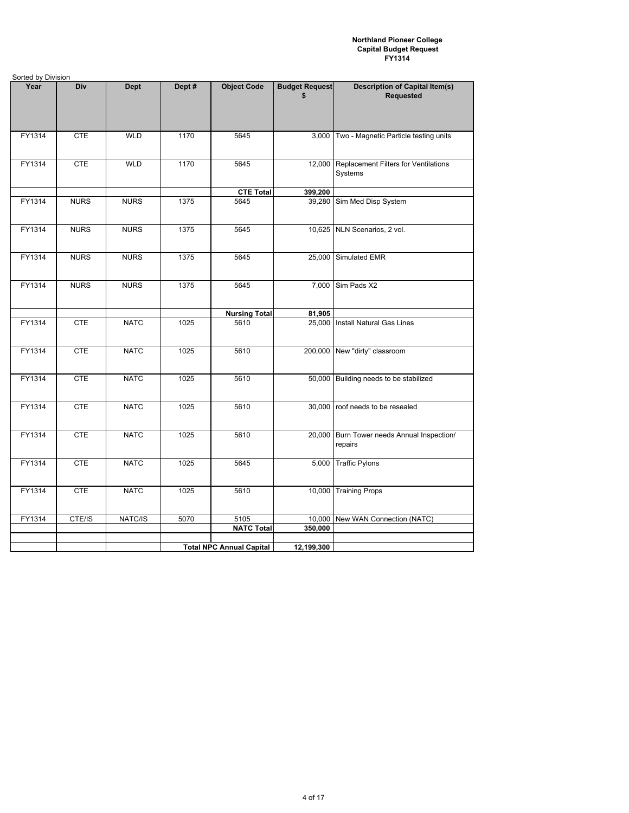| Sorted by Division |             |             |        |                                 |                             |                                                           |
|--------------------|-------------|-------------|--------|---------------------------------|-----------------------------|-----------------------------------------------------------|
| Year               | Div         | <b>Dept</b> | Dept # | <b>Object Code</b>              | <b>Budget Request</b><br>\$ | <b>Description of Capital Item(s)</b><br><b>Requested</b> |
| FY1314             | <b>CTE</b>  | <b>WLD</b>  | 1170   | 5645                            | 3,000                       | Two - Magnetic Particle testing units                     |
| FY1314             | <b>CTE</b>  | <b>WLD</b>  | 1170   | 5645                            | 12,000                      | Replacement Filters for Ventilations<br>Systems           |
|                    |             |             |        | <b>CTE Total</b>                | 399,200                     |                                                           |
| FY1314             | <b>NURS</b> | <b>NURS</b> | 1375   | 5645                            | 39,280                      | Sim Med Disp System                                       |
| FY1314             | <b>NURS</b> | <b>NURS</b> | 1375   | 5645                            |                             | 10,625 NLN Scenarios, 2 vol.                              |
| FY1314             | <b>NURS</b> | <b>NURS</b> | 1375   | 5645                            |                             | 25,000 Simulated EMR                                      |
| FY1314             | <b>NURS</b> | <b>NURS</b> | 1375   | 5645                            | 7,000                       | Sim Pads X2                                               |
|                    |             |             |        | <b>Nursing Total</b>            | 81,905                      |                                                           |
| FY1314             | <b>CTE</b>  | <b>NATC</b> | 1025   | 5610                            |                             | 25,000 Install Natural Gas Lines                          |
| FY1314             | <b>CTE</b>  | <b>NATC</b> | 1025   | 5610                            |                             | 200,000 New "dirty" classroom                             |
| FY1314             | <b>CTE</b>  | <b>NATC</b> | 1025   | 5610                            |                             | 50,000 Building needs to be stabilized                    |
| FY1314             | <b>CTE</b>  | <b>NATC</b> | 1025   | 5610                            | 30,000                      | roof needs to be resealed                                 |
| FY1314             | <b>CTE</b>  | <b>NATC</b> | 1025   | 5610                            | 20,000                      | Burn Tower needs Annual Inspection/<br>repairs            |
| FY1314             | <b>CTE</b>  | <b>NATC</b> | 1025   | 5645                            | 5,000                       | <b>Traffic Pylons</b>                                     |
| FY1314             | <b>CTE</b>  | <b>NATC</b> | 1025   | 5610                            | 10,000                      | <b>Training Props</b>                                     |
| FY1314             | CTE/IS      | NATC/IS     | 5070   | 5105                            |                             | 10,000 New WAN Connection (NATC)                          |
|                    |             |             |        | <b>NATC Total</b>               | 350,000                     |                                                           |
|                    |             |             |        |                                 |                             |                                                           |
|                    |             |             |        | <b>Total NPC Annual Capital</b> | 12,199,300                  |                                                           |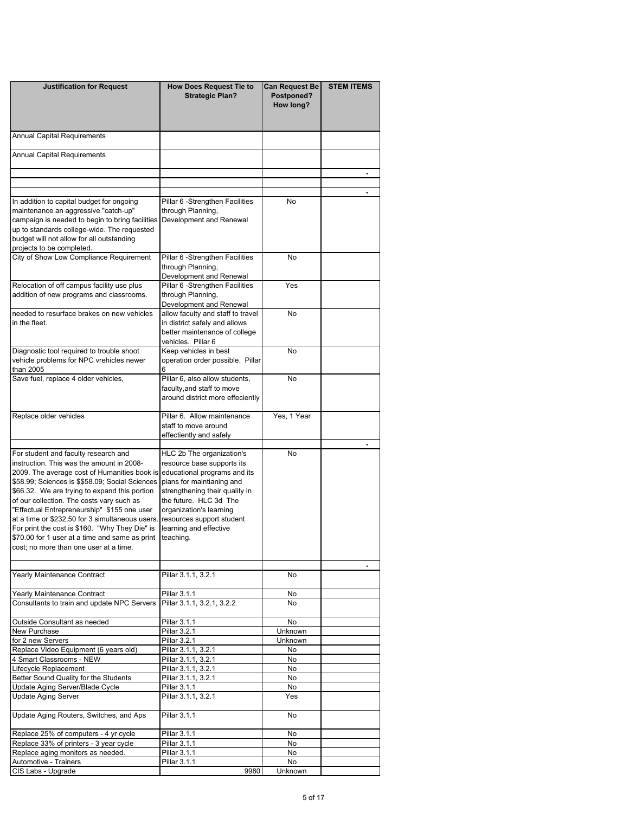| <b>Justification for Request</b>                                                         | <b>How Does Request Tie to</b>                                 | <b>Can Request Be</b>   | <b>STEM ITEMS</b> |
|------------------------------------------------------------------------------------------|----------------------------------------------------------------|-------------------------|-------------------|
|                                                                                          | <b>Strategic Plan?</b>                                         | Postponed?<br>How long? |                   |
|                                                                                          |                                                                |                         |                   |
| Annual Capital Requirements                                                              |                                                                |                         |                   |
| Annual Capital Requirements                                                              |                                                                |                         |                   |
|                                                                                          |                                                                |                         |                   |
|                                                                                          |                                                                |                         |                   |
| In addition to capital budget for ongoing                                                | Pillar 6 - Strengthen Facilities                               | No                      |                   |
| maintenance an aggressive "catch-up"                                                     | through Planning,                                              |                         |                   |
| campaign is needed to begin to bring facilities                                          | Development and Renewal                                        |                         |                   |
| up to standards college-wide. The requested                                              |                                                                |                         |                   |
| budget will not allow for all outstanding                                                |                                                                |                         |                   |
| projects to be completed.<br>City of Show Low Compliance Requirement                     | Pillar 6 - Strengthen Facilities                               | No                      |                   |
|                                                                                          | through Planning,                                              |                         |                   |
|                                                                                          | Development and Renewal                                        |                         |                   |
| Relocation of off campus facility use plus                                               | Pillar 6 - Strengthen Facilities                               | Yes                     |                   |
| addition of new programs and classrooms.                                                 | through Planning,                                              |                         |                   |
|                                                                                          | Development and Renewal                                        |                         |                   |
| needed to resurface brakes on new vehicles                                               | allow faculty and staff to travel                              | No                      |                   |
| in the fleet.                                                                            | in district safely and allows<br>better maintenance of college |                         |                   |
|                                                                                          | vehicles. Pillar 6                                             |                         |                   |
| Diagnostic tool required to trouble shoot                                                | Keep vehicles in best                                          | No                      |                   |
| vehicle problems for NPC vrehicles newer                                                 | operation order possible. Pillar                               |                         |                   |
| than 2005                                                                                | 6                                                              |                         |                   |
| Save fuel, replace 4 older vehicles,                                                     | Pillar 6, also allow students,                                 | No                      |                   |
|                                                                                          | faculty, and staff to move<br>around district more effeciently |                         |                   |
|                                                                                          |                                                                |                         |                   |
| Replace older vehicles                                                                   | Pillar 6. Allow maintenance                                    | Yes, 1 Year             |                   |
|                                                                                          | staff to move around                                           |                         |                   |
|                                                                                          | effectiently and safely                                        |                         |                   |
| For student and faculty research and                                                     | HLC 2b The organization's                                      | No                      |                   |
| instruction. This was the amount in 2008-                                                | resource base supports its                                     |                         |                   |
| 2009. The average cost of Humanities book is                                             | educational programs and its                                   |                         |                   |
| \$58.99; Sciences is \$\$58.09; Social Sciences                                          | plans for maintianing and                                      |                         |                   |
| \$66.32. We are trying to expand this portion                                            | strengthening their quality in                                 |                         |                   |
| of our collection. The costs vary such as<br>"Effectual Entrepreneurship" \$155 one user | the future. HLC 3d The<br>organization's learning              |                         |                   |
| at a time or \$232.50 for 3 simultaneous users.                                          | resources support student                                      |                         |                   |
| For print the cost is \$160. "Why They Die" is                                           | learning and effective                                         |                         |                   |
| \$70.00 for 1 user at a time and same as print                                           | teaching.                                                      |                         |                   |
| cost; no more than one user at a time.                                                   |                                                                |                         |                   |
|                                                                                          |                                                                |                         |                   |
| Yearly Maintenance Contract                                                              | Pillar 3.1.1, 3.2.1                                            | No.                     |                   |
|                                                                                          |                                                                |                         |                   |
| Yearly Maintenance Contract                                                              | Pillar 3.1.1                                                   | No<br>No                |                   |
| Consultants to train and update NPC Servers                                              | Pillar 3.1.1, 3.2.1, 3.2.2                                     |                         |                   |
| Outside Consultant as needed                                                             | Pillar 3.1.1                                                   | No                      |                   |
| New Purchase                                                                             | Pillar 3.2.1                                                   | Unknown                 |                   |
| for 2 new Servers                                                                        | Pillar 3.2.1                                                   | Unknown                 |                   |
| Replace Video Equipment (6 years old)<br>4 Smart Classrooms - NEW                        | Pillar 3.1.1, 3.2.1                                            | No                      |                   |
| Lifecycle Replacement                                                                    | Pillar 3.1.1, 3.2.1<br>Pillar 3.1.1, 3.2.1                     | No<br>No                |                   |
| Better Sound Quality for the Students                                                    | Pillar 3.1.1, 3.2.1                                            | No                      |                   |
| Update Aging Server/Blade Cycle                                                          | Pillar 3.1.1                                                   | No                      |                   |
| <b>Update Aging Server</b>                                                               | Pillar 3.1.1, 3.2.1                                            | Yes                     |                   |
| Update Aging Routers, Switches, and Aps                                                  | Pillar 3.1.1                                                   | No                      |                   |
|                                                                                          |                                                                |                         |                   |
| Replace 25% of computers - 4 yr cycle                                                    | Pillar 3.1.1                                                   | No                      |                   |
| Replace 33% of printers - 3 year cycle                                                   | Pillar 3.1.1                                                   | No                      |                   |
| Replace aging monitors as needed.<br>Automotive - Trainers                               | Pillar 3.1.1<br>Pillar 3.1.1                                   | No<br>No                |                   |
| CIS Labs - Upgrade                                                                       | 9980                                                           | Unknown                 |                   |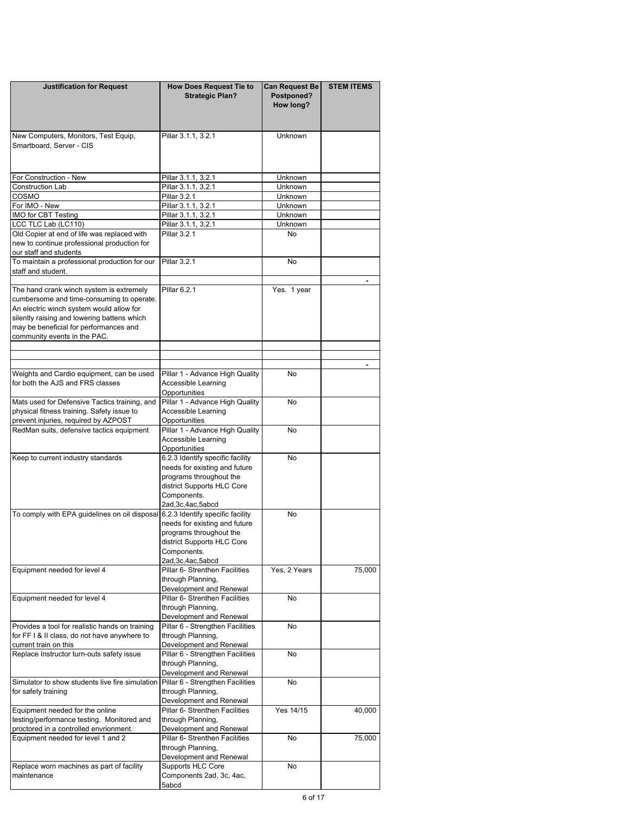| <b>Justification for Request</b>                                                      | <b>How Does Request Tie to</b>                                    | <b>Can Request Be</b> | <b>STEM ITEMS</b> |
|---------------------------------------------------------------------------------------|-------------------------------------------------------------------|-----------------------|-------------------|
|                                                                                       | <b>Strategic Plan?</b>                                            | Postponed?            |                   |
|                                                                                       |                                                                   | How long?             |                   |
|                                                                                       |                                                                   |                       |                   |
| New Computers, Monitors, Test Equip,                                                  | Pillar 3.1.1, 3.2.1                                               | <b>Unknown</b>        |                   |
| Smartboard, Server - CIS                                                              |                                                                   |                       |                   |
|                                                                                       |                                                                   |                       |                   |
|                                                                                       |                                                                   |                       |                   |
| For Construction - New<br>Construction Lab                                            | Pillar 3.1.1, 3.2.1<br>Pillar 3.1.1, 3.2.1                        | Unknown<br>Unknown    |                   |
| COSMO                                                                                 | Pillar 3.2.1                                                      | Unknown               |                   |
| For IMO - New                                                                         | Pillar 3.1.1, 3.2.1                                               | Unknown               |                   |
| <b>IMO for CBT Testing</b>                                                            | Pillar 3.1.1, 3.2.1                                               | Unknown               |                   |
| LCC TLC Lab (LC110)<br>Old Copier at end of life was replaced with                    | Pillar 3.1.1, 3.2.1<br>Pillar 3.2.1                               | Unknown<br>No         |                   |
| new to continue professional production for                                           |                                                                   |                       |                   |
| our staff and students                                                                |                                                                   |                       |                   |
| To maintain a professional production for our                                         | Pillar 3.2.1                                                      | No                    |                   |
| staff and student.                                                                    |                                                                   |                       |                   |
| The hand crank winch system is extremely                                              | Pillar 6.2.1                                                      | Yes. 1 year           |                   |
| cumbersome and time-consuming to operate.                                             |                                                                   |                       |                   |
| An electric winch system would allow for                                              |                                                                   |                       |                   |
| silently raising and lowering battens which<br>may be beneficial for performances and |                                                                   |                       |                   |
| community events in the PAC.                                                          |                                                                   |                       |                   |
|                                                                                       |                                                                   |                       |                   |
|                                                                                       |                                                                   |                       |                   |
| Weights and Cardio equipment, can be used                                             | Pillar 1 - Advance High Quality                                   | No                    |                   |
| for both the AJS and FRS classes                                                      | Accessible Learning                                               |                       |                   |
|                                                                                       | Opportunities                                                     |                       |                   |
| Mats used for Defensive Tactics training, and                                         | Pillar 1 - Advance High Quality                                   | No                    |                   |
| physical fitness training. Safety issue to<br>prevent injuries, required by AZPOST    | Accessible Learning<br>Opportunities                              |                       |                   |
| RedMan suits, defensive tactics equipment                                             | Pillar 1 - Advance High Quality                                   | No                    |                   |
|                                                                                       | Accessible Learning                                               |                       |                   |
|                                                                                       | Opportunities                                                     |                       |                   |
| Keep to current industry standards                                                    | 6.2.3 Identify specific facility<br>needs for existing and future | <b>No</b>             |                   |
|                                                                                       | programs throughout the                                           |                       |                   |
|                                                                                       | district Supports HLC Core                                        |                       |                   |
|                                                                                       | Components.                                                       |                       |                   |
|                                                                                       | 2ad, 3c, 4ac, 5abcd<br>6.2.3 Identify specific facility           | No                    |                   |
| To comply with EPA guidelines on oil disposal                                         | needs for existing and future                                     |                       |                   |
|                                                                                       | programs throughout the                                           |                       |                   |
|                                                                                       | district Supports HLC Core                                        |                       |                   |
|                                                                                       | Components.                                                       |                       |                   |
| Equipment needed for level 4                                                          | 2ad, 3c, 4ac, 5abcd<br>Pillar 6- Strenthen Facilities             | Yes, 2 Years          | 75,000            |
|                                                                                       | through Planning,                                                 |                       |                   |
|                                                                                       | Development and Renewal                                           |                       |                   |
| Equipment needed for level 4                                                          | Pillar 6- Strenthen Facilities                                    | No                    |                   |
|                                                                                       | through Planning,<br>Development and Renewal                      |                       |                   |
| Provides a tool for realistic hands on training                                       | Pillar 6 - Strengthen Facilities                                  | No                    |                   |
| for FF I & II class, do not have anywhere to                                          | through Planning,                                                 |                       |                   |
| current train on this                                                                 | Development and Renewal                                           |                       |                   |
| Replace Instructor turn-outs safety issue                                             | Pillar 6 - Strengthen Facilities<br>through Planning,             | No                    |                   |
|                                                                                       | Development and Renewal                                           |                       |                   |
| Simulator to show students live fire simulation                                       | Pillar 6 - Strengthen Facilities                                  | No                    |                   |
| for safety training                                                                   | through Planning,                                                 |                       |                   |
|                                                                                       | Development and Renewal                                           |                       |                   |
| Equipment needed for the online<br>testing/performance testing. Monitored and         | Pillar 6- Strenthen Facilities<br>through Planning,               | Yes 14/15             | 40,000            |
| proctored in a controlled envrionment.                                                | Development and Renewal                                           |                       |                   |
| Equipment needed for level 1 and 2                                                    | Pillar 6- Strenthen Facilities                                    | No                    | 75,000            |
|                                                                                       | through Planning,                                                 |                       |                   |
| Replace worn machines as part of facility                                             | Development and Renewal<br>Supports HLC Core                      | No                    |                   |
| maintenance                                                                           | Components 2ad, 3c, 4ac,                                          |                       |                   |
|                                                                                       | 5abcd                                                             |                       |                   |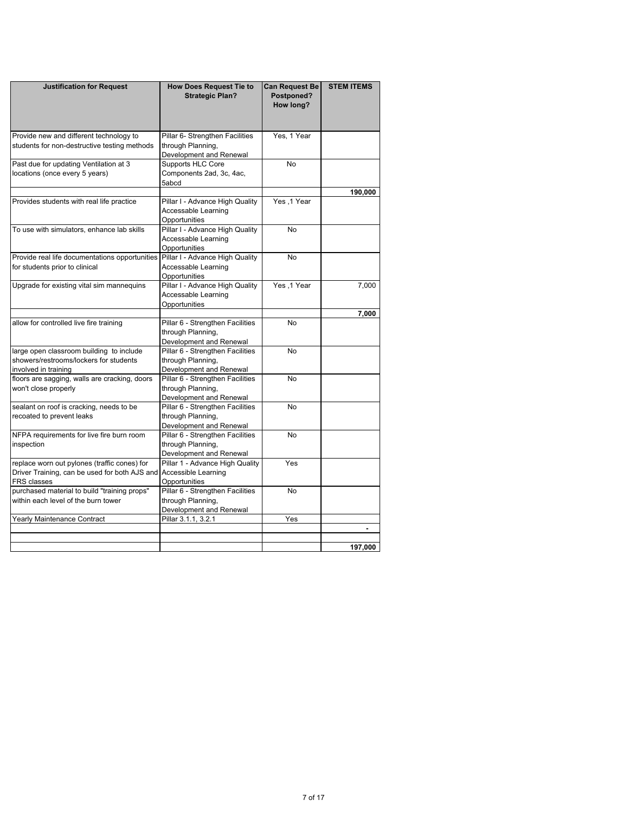| <b>Justification for Request</b>               | <b>How Does Request Tie to</b><br><b>Strategic Plan?</b>                | <b>Can Request Be</b><br>Postponed?<br>How long? | <b>STEM ITEMS</b> |
|------------------------------------------------|-------------------------------------------------------------------------|--------------------------------------------------|-------------------|
| Provide new and different technology to        | Pillar 6- Strengthen Facilities                                         | Yes, 1 Year                                      |                   |
| students for non-destructive testing methods   | through Planning,                                                       |                                                  |                   |
|                                                | Development and Renewal                                                 |                                                  |                   |
| Past due for updating Ventilation at 3         | Supports HLC Core                                                       | No                                               |                   |
| locations (once every 5 years)                 | Components 2ad, 3c, 4ac,                                                |                                                  |                   |
|                                                | 5abcd                                                                   |                                                  |                   |
|                                                |                                                                         |                                                  | 190,000           |
| Provides students with real life practice      | Pillar I - Advance High Quality<br>Accessable Learning<br>Opportunities | Yes, 1 Year                                      |                   |
| To use with simulators, enhance lab skills     | Pillar I - Advance High Quality<br>Accessable Learning<br>Opportunities | <b>No</b>                                        |                   |
| Provide real life documentations opportunities | Pillar I - Advance High Quality                                         | <b>No</b>                                        |                   |
| for students prior to clinical                 | Accessable Learning                                                     |                                                  |                   |
|                                                | Opportunities                                                           |                                                  |                   |
| Upgrade for existing vital sim mannequins      | Pillar I - Advance High Quality                                         | Yes, 1 Year                                      | 7,000             |
|                                                | Accessable Learning                                                     |                                                  |                   |
|                                                | Opportunities                                                           |                                                  |                   |
|                                                |                                                                         |                                                  | 7,000             |
| allow for controlled live fire training        | Pillar 6 - Strengthen Facilities                                        | <b>No</b>                                        |                   |
|                                                | through Planning,                                                       |                                                  |                   |
|                                                | Development and Renewal                                                 |                                                  |                   |
| large open classroom building to include       | Pillar 6 - Strengthen Facilities                                        | No                                               |                   |
| showers/restrooms/lockers for students         | through Planning,                                                       |                                                  |                   |
| involved in training                           | Development and Renewal                                                 |                                                  |                   |
| floors are sagging, walls are cracking, doors  | Pillar 6 - Strengthen Facilities                                        | No                                               |                   |
| won't close properly                           | through Planning,                                                       |                                                  |                   |
|                                                | Development and Renewal                                                 |                                                  |                   |
| sealant on roof is cracking, needs to be       | Pillar 6 - Strengthen Facilities                                        | <b>No</b>                                        |                   |
| recoated to prevent leaks                      | through Planning,                                                       |                                                  |                   |
|                                                | Development and Renewal                                                 |                                                  |                   |
| NFPA requirements for live fire burn room      | Pillar 6 - Strengthen Facilities                                        | <b>No</b>                                        |                   |
| inspection                                     | through Planning,                                                       |                                                  |                   |
|                                                | Development and Renewal                                                 |                                                  |                   |
| replace worn out pylones (traffic cones) for   | Pillar 1 - Advance High Quality                                         | Yes                                              |                   |
| Driver Training, can be used for both AJS and  | Accessible Learning                                                     |                                                  |                   |
| FRS classes                                    | Opportunities                                                           |                                                  |                   |
| purchased material to build "training props"   | Pillar 6 - Strengthen Facilities                                        | <b>No</b>                                        |                   |
| within each level of the burn tower            | through Planning,                                                       |                                                  |                   |
|                                                | Development and Renewal                                                 |                                                  |                   |
| Yearly Maintenance Contract                    | Pillar 3.1.1, 3.2.1                                                     | Yes                                              |                   |
|                                                |                                                                         |                                                  |                   |
|                                                |                                                                         |                                                  |                   |
|                                                |                                                                         |                                                  | 197.000           |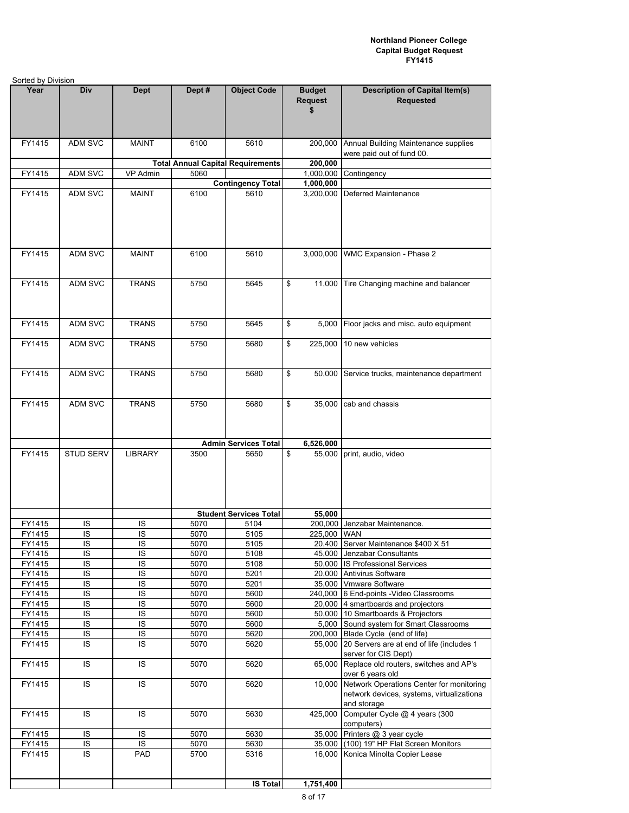| Sorted by Division |                            |                |              |                                          |                                       |                                                                                                      |
|--------------------|----------------------------|----------------|--------------|------------------------------------------|---------------------------------------|------------------------------------------------------------------------------------------------------|
| Year               | Div                        | <b>Dept</b>    | Dept#        | <b>Object Code</b>                       | <b>Budget</b><br><b>Request</b><br>\$ | <b>Description of Capital Item(s)</b><br><b>Requested</b>                                            |
| FY1415             | <b>ADM SVC</b>             | <b>MAINT</b>   | 6100         | 5610                                     | 200,000                               | Annual Building Maintenance supplies<br>were paid out of fund 00.                                    |
|                    |                            |                |              | <b>Total Annual Capital Requirements</b> | 200,000                               |                                                                                                      |
| FY1415             | ADM SVC                    | VP Admin       | 5060         |                                          | 1,000,000                             | Contingency                                                                                          |
|                    |                            |                |              | <b>Contingency Total</b>                 | 1,000,000                             |                                                                                                      |
| FY1415             | <b>ADM SVC</b>             | <b>MAINT</b>   | 6100         | 5610                                     | 3,200,000                             | Deferred Maintenance                                                                                 |
| FY1415             | ADM SVC                    | <b>MAINT</b>   | 6100         | 5610                                     | 3,000,000                             | WMC Expansion - Phase 2                                                                              |
| FY1415             | <b>ADM SVC</b>             | <b>TRANS</b>   | 5750         | 5645                                     | \$<br>11.000                          | Tire Changing machine and balancer                                                                   |
| FY1415             | <b>ADM SVC</b>             | <b>TRANS</b>   | 5750         | 5645                                     | \$<br>5,000                           | Floor jacks and misc. auto equipment                                                                 |
| FY1415             | <b>ADM SVC</b>             | <b>TRANS</b>   | 5750         | 5680                                     | \$<br>225,000                         | 10 new vehicles                                                                                      |
| FY1415             | ADM SVC                    | <b>TRANS</b>   | 5750         | 5680                                     | \$<br>50,000                          | Service trucks, maintenance department                                                               |
| FY1415             | ADM SVC                    | <b>TRANS</b>   | 5750         | 5680                                     | \$<br>35,000                          | cab and chassis                                                                                      |
|                    |                            |                |              | <b>Admin Services Total</b>              | 6,526,000                             |                                                                                                      |
| FY1415             | STUD SERV                  | <b>LIBRARY</b> | 3500         | 5650                                     | \$<br>55,000                          | print, audio, video                                                                                  |
|                    |                            |                |              | <b>Student Services Total</b>            | 55,000                                |                                                                                                      |
| FY1415<br>FY1415   | IS<br>IS                   | ΙS<br>IS       | 5070<br>5070 | 5104<br>5105                             |                                       | 200,000 Jenzabar Maintenance.<br>225,000 WAN                                                         |
| FY1415             | IS                         | IS             | 5070         | 5105                                     |                                       | 20,400 Server Maintenance \$400 X 51                                                                 |
| FY1415             | $\overline{1S}$            | IS             | 5070         | 5108                                     |                                       | 45,000 Jenzabar Consultants                                                                          |
| FY1415             | $\overline{S}$             | IS             | 5070         | 5108                                     |                                       | 50,000 IS Professional Services                                                                      |
| FY1415             | IS                         | IS             | 5070         | 5201                                     |                                       | 20,000 Antivirus Software                                                                            |
| FY1415             | IS                         | IS             | 5070         | 5201                                     |                                       | 35,000 Vmware Software                                                                               |
| FY1415             | IS                         | IS             | 5070         | 5600                                     |                                       | 240,000 6 End-points - Video Classrooms                                                              |
| FY1415             | $\overline{S}$             | IS             | 5070         | 5600                                     |                                       | 20,000 4 smartboards and projectors                                                                  |
| FY1415             | $\overline{1S}$            | IS             | 5070         | 5600                                     |                                       | 50,000 10 Smartboards & Projectors                                                                   |
| FY1415             | $\sf IS$<br>$\overline{S}$ | IS<br>IS       | 5070<br>5070 | 5600<br>5620                             | 5,000                                 | Sound system for Smart Classrooms                                                                    |
| FY1415<br>FY1415   | IS                         | IS             | 5070         | 5620                                     | 200,000<br>55,000                     | Blade Cycle (end of life)<br>20 Servers are at end of life (includes 1<br>server for CIS Dept)       |
| FY1415             | IS                         | IS             | 5070         | 5620                                     | 65,000                                | Replace old routers, switches and AP's<br>over 6 years old                                           |
| FY1415             | IS                         | IS             | 5070         | 5620                                     | 10,000                                | Network Operations Center for monitoring<br>network devices, systems, virtualizationa<br>and storage |
| FY1415             | IS                         | IS             | 5070         | 5630                                     | 425,000                               | Computer Cycle @ 4 years (300<br>computers)                                                          |
| FY1415             | IS                         | IS             | 5070         | 5630                                     | 35,000                                | Printers @ 3 year cycle                                                                              |
| FY1415             | $\overline{S}$             | IS             | 5070         | 5630                                     | 35,000                                | (100) 19" HP Flat Screen Monitors                                                                    |
| FY1415             | IS                         | PAD            | 5700         | 5316                                     | 16,000                                | Konica Minolta Copier Lease                                                                          |
|                    |                            |                |              | <b>IS Total</b>                          | 1,751,400                             |                                                                                                      |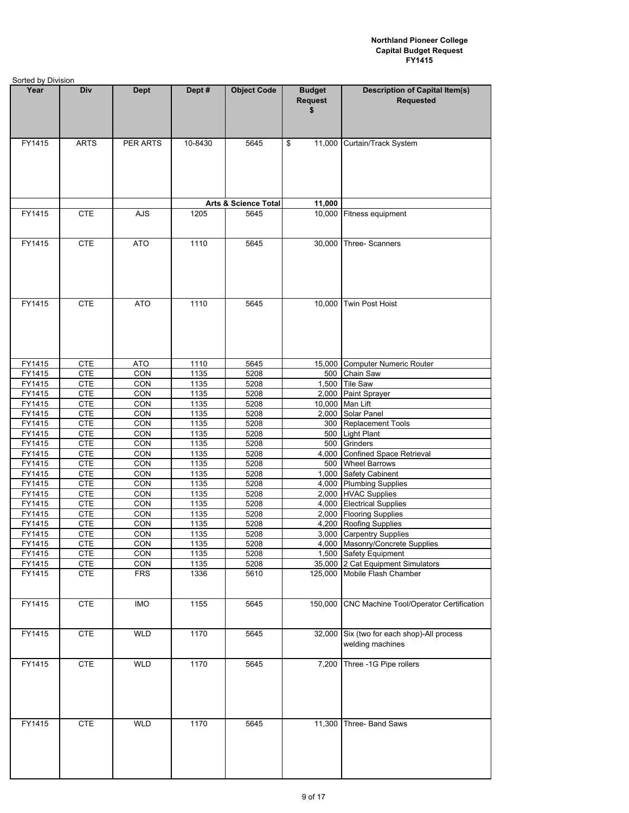| Sorted by Division |                          |             |              |                                 |                                       |                                                             |  |  |
|--------------------|--------------------------|-------------|--------------|---------------------------------|---------------------------------------|-------------------------------------------------------------|--|--|
| Year               | Div                      | <b>Dept</b> | Dept #       | <b>Object Code</b>              | <b>Budget</b><br><b>Request</b><br>\$ | <b>Description of Capital Item(s)</b><br><b>Requested</b>   |  |  |
| FY1415             | <b>ARTS</b>              | PER ARTS    | 10-8430      | 5645                            | \$<br>11,000                          | Curtain/Track System                                        |  |  |
|                    |                          |             |              | <b>Arts &amp; Science Total</b> | 11,000                                |                                                             |  |  |
| FY1415             | <b>CTE</b>               | <b>AJS</b>  | 1205         | 5645                            |                                       | 10,000 Fitness equipment                                    |  |  |
| FY1415             | <b>CTE</b>               | <b>ATO</b>  | 1110         | 5645                            | 30,000                                | Three-Scanners                                              |  |  |
| FY1415             | <b>CTE</b>               | <b>ATO</b>  | 1110         | 5645                            | 10,000                                | Twin Post Hoist                                             |  |  |
| FY1415             | <b>CTE</b>               | <b>ATO</b>  | 1110         | 5645                            |                                       | 15,000 Computer Numeric Router                              |  |  |
| FY1415             | <b>CTE</b>               | CON         | 1135         | 5208                            | 500                                   | Chain Saw                                                   |  |  |
| FY1415             | <b>CTE</b>               | CON         | 1135         | 5208                            |                                       | 1,500 Tile Saw                                              |  |  |
| FY1415             | <b>CTE</b>               | CON         | 1135         | 5208                            |                                       | 2,000 Paint Sprayer                                         |  |  |
| FY1415             | <b>CTE</b>               | CON         | 1135         | 5208                            |                                       | 10,000 Man Lift                                             |  |  |
| FY1415             | <b>CTE</b>               | CON         | 1135         | 5208                            | 2,000                                 | Solar Panel                                                 |  |  |
| FY1415             | <b>CTE</b>               | CON         | 1135         | 5208                            |                                       | 300 Replacement Tools                                       |  |  |
| FY1415             | <b>CTE</b>               | CON         | 1135         | 5208                            |                                       | 500 Light Plant                                             |  |  |
| FY1415<br>FY1415   | <b>CTE</b><br><b>CTE</b> | CON<br>CON  | 1135<br>1135 | 5208<br>5208                    |                                       | 500 Grinders<br>Confined Space Retrieval                    |  |  |
| FY1415             | <b>CTE</b>               | CON         | 1135         | 5208                            | 4,000<br>500                          | <b>Wheel Barrows</b>                                        |  |  |
| FY1415             | <b>CTE</b>               | CON         | 1135         | 5208                            | 1,000                                 | <b>Safety Cabinent</b>                                      |  |  |
| FY1415             | <b>CTE</b>               | CON         | 1135         | 5208                            |                                       | 4,000 Plumbing Supplies                                     |  |  |
| FY1415             | <b>CTE</b>               | CON         | 1135         | 5208                            |                                       | 2,000 HVAC Supplies                                         |  |  |
| FY1415             | <b>CTE</b>               | CON         | 1135         | 5208                            |                                       | 4,000 Electrical Supplies                                   |  |  |
| FY1415             | <b>CTE</b>               | CON         | 1135         | 5208                            |                                       | 2,000 Flooring Supplies                                     |  |  |
| FY1415             | <b>CTE</b>               | CON         | 1135         | 5208                            |                                       | 4,200 Roofing Supplies                                      |  |  |
| FY1415             | <b>CTE</b>               | CON         | 1135         | 5208                            |                                       | 3,000 Carpentry Supplies                                    |  |  |
| FY1415             | <b>CTE</b>               | CON         | 1135         | 5208                            |                                       | 4,000 Masonry/Concrete Supplies                             |  |  |
| FY1415<br>FY1415   | <b>CTE</b><br><b>CTE</b> | CON<br>CON  | 1135<br>1135 | 5208<br>5208                    |                                       | 1,500 Safety Equipment<br>35,000 2 Cat Equipment Simulators |  |  |
| FY1415             | <b>CTE</b>               | <b>FRS</b>  | 1336         | 5610                            |                                       | 125,000 Mobile Flash Chamber                                |  |  |
| FY1415             | <b>CTE</b>               | <b>IMO</b>  | 1155         | 5645                            | 150,000                               | CNC Machine Tool/Operator Certification                     |  |  |
| FY1415             | <b>CTE</b>               | <b>WLD</b>  | 1170         | 5645                            | 32,000                                | Six (two for each shop)-All process<br>welding machines     |  |  |
| FY1415             | <b>CTE</b>               | <b>WLD</b>  | 1170         | 5645                            | 7.200                                 | Three -1G Pipe rollers                                      |  |  |
| FY1415             | <b>CTE</b>               | <b>WLD</b>  | 1170         | 5645                            | 11,300                                | Three- Band Saws                                            |  |  |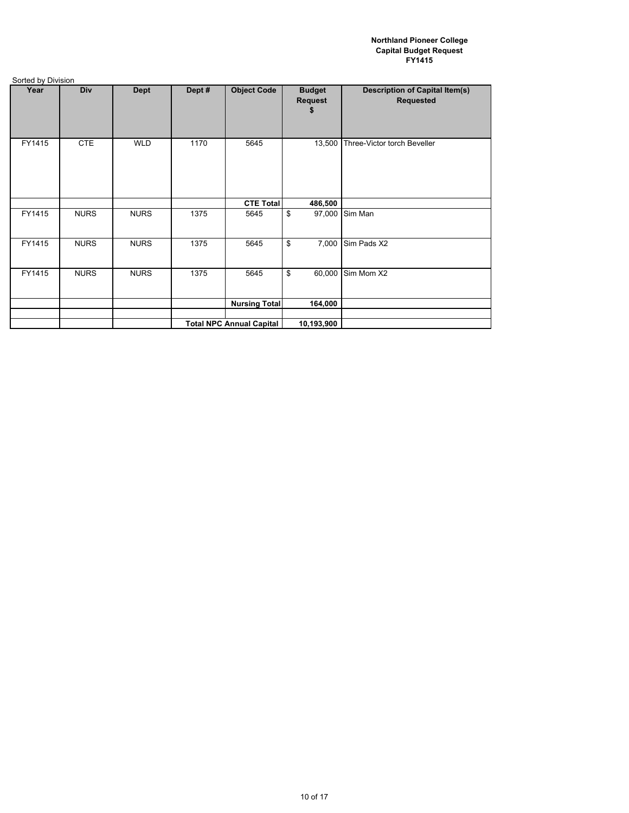| .      |             |             |        |                                 |                                      |                                                           |
|--------|-------------|-------------|--------|---------------------------------|--------------------------------------|-----------------------------------------------------------|
| Year   | Div         | <b>Dept</b> | Dept # | <b>Object Code</b>              | <b>Budget</b><br><b>Request</b><br>5 | <b>Description of Capital Item(s)</b><br><b>Requested</b> |
| FY1415 | <b>CTE</b>  | <b>WLD</b>  | 1170   | 5645                            | 13,500                               | Three-Victor torch Beveller                               |
|        |             |             |        | <b>CTE Total</b>                | 486,500                              |                                                           |
| FY1415 | <b>NURS</b> | <b>NURS</b> | 1375   | 5645                            | \$<br>97,000                         | Sim Man                                                   |
| FY1415 | <b>NURS</b> | <b>NURS</b> | 1375   | 5645                            | \$<br>7,000                          | Sim Pads X2                                               |
| FY1415 | <b>NURS</b> | <b>NURS</b> | 1375   | 5645                            | \$<br>60,000                         | Sim Mom X2                                                |
|        |             |             |        | <b>Nursing Total</b>            | 164,000                              |                                                           |
|        |             |             |        |                                 |                                      |                                                           |
|        |             |             |        | <b>Total NPC Annual Capital</b> | 10,193,900                           |                                                           |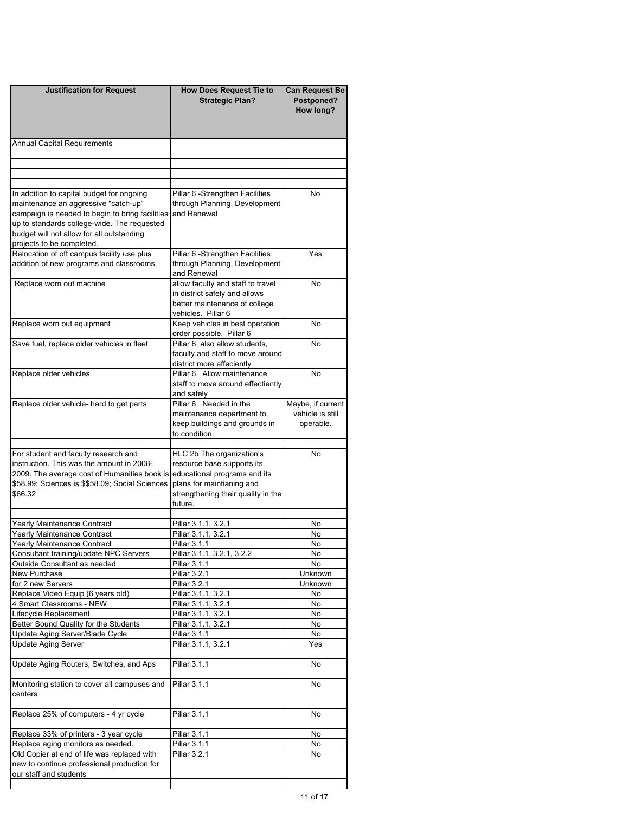| <b>Justification for Request</b>                                                                                                                                                                                 | <b>How Does Request Tie to</b><br><b>Strategic Plan?</b>                                                                                                              | <b>Can Request Be</b><br>Postponed?<br>How long?   |
|------------------------------------------------------------------------------------------------------------------------------------------------------------------------------------------------------------------|-----------------------------------------------------------------------------------------------------------------------------------------------------------------------|----------------------------------------------------|
| <b>Annual Capital Requirements</b>                                                                                                                                                                               |                                                                                                                                                                       |                                                    |
|                                                                                                                                                                                                                  |                                                                                                                                                                       |                                                    |
| In addition to capital budget for ongoing                                                                                                                                                                        | Pillar 6 - Strengthen Facilities                                                                                                                                      | No                                                 |
| maintenance an aggressive "catch-up"<br>campaign is needed to begin to bring facilities<br>up to standards college-wide. The requested<br>budget will not allow for all outstanding<br>projects to be completed. | through Planning, Development<br>and Renewal                                                                                                                          |                                                    |
| Relocation of off campus facility use plus<br>addition of new programs and classrooms.                                                                                                                           | Pillar 6 - Strengthen Facilities<br>through Planning, Development<br>and Renewal                                                                                      | Yes                                                |
| Replace worn out machine                                                                                                                                                                                         | allow faculty and staff to travel<br>in district safely and allows<br>better maintenance of college<br>vehicles. Pillar 6                                             | No                                                 |
| Replace worn out equipment                                                                                                                                                                                       | Keep vehicles in best operation<br>order possible. Pillar 6                                                                                                           | No                                                 |
| Save fuel, replace older vehicles in fleet                                                                                                                                                                       | Pillar 6, also allow students,<br>faculty, and staff to move around<br>district more effeciently                                                                      | No                                                 |
| Replace older vehicles                                                                                                                                                                                           | Pillar 6. Allow maintenance<br>staff to move around effectiently<br>and safely                                                                                        | No                                                 |
| Replace older vehicle- hard to get parts                                                                                                                                                                         | Pillar 6. Needed in the<br>maintenance department to<br>keep buildings and grounds in<br>to condition.                                                                | Maybe, if current<br>vehicle is still<br>operable. |
| For student and faculty research and<br>instruction. This was the amount in 2008-<br>2009. The average cost of Humanities book is<br>\$58.99; Sciences is \$\$58.09; Social Sciences<br>\$66.32                  | HLC 2b The organization's<br>resource base supports its<br>educational programs and its<br>plans for maintianing and<br>strengthening their quality in the<br>future. | No                                                 |
| Yearly Maintenance Contract                                                                                                                                                                                      | Pillar 3.1.1, 3.2.1                                                                                                                                                   | No                                                 |
| Yearly Maintenance Contract                                                                                                                                                                                      | Pillar 3.1.1, 3.2.1                                                                                                                                                   | No                                                 |
| Yearly Maintenance Contract                                                                                                                                                                                      | Pillar 3.1.1                                                                                                                                                          | No                                                 |
| Consultant training/update NPC Servers                                                                                                                                                                           | Pillar 3.1.1, 3.2.1, 3.2.2                                                                                                                                            | No                                                 |
| Outside Consultant as needed                                                                                                                                                                                     | Pillar 3.1.1                                                                                                                                                          | No                                                 |
| New Purchase                                                                                                                                                                                                     | <b>Pillar 3.2.1</b>                                                                                                                                                   | Unknown                                            |
| for 2 new Servers                                                                                                                                                                                                | Pillar 3.2.1                                                                                                                                                          | <b>Unknown</b>                                     |
| Replace Video Equip (6 years old)                                                                                                                                                                                | Pillar 3.1.1, 3.2.1<br>Pillar 3.1.1, 3.2.1                                                                                                                            | No                                                 |
| 4 Smart Classrooms - NEW<br>Lifecycle Replacement                                                                                                                                                                | Pillar 3.1.1, 3.2.1                                                                                                                                                   | No<br>No                                           |
| Better Sound Quality for the Students                                                                                                                                                                            | Pillar 3.1.1, 3.2.1                                                                                                                                                   | No                                                 |
| Update Aging Server/Blade Cycle                                                                                                                                                                                  | Pillar 3.1.1                                                                                                                                                          | No                                                 |
| <b>Update Aging Server</b>                                                                                                                                                                                       | Pillar 3.1.1, 3.2.1                                                                                                                                                   | Yes                                                |
| Update Aging Routers, Switches, and Aps                                                                                                                                                                          | <b>Pillar 3.1.1</b>                                                                                                                                                   | No                                                 |
| Monitoring station to cover all campuses and<br>centers                                                                                                                                                          | Pillar 3.1.1                                                                                                                                                          | No                                                 |
| Replace 25% of computers - 4 yr cycle                                                                                                                                                                            | Pillar 3.1.1                                                                                                                                                          | No                                                 |
| Replace 33% of printers - 3 year cycle                                                                                                                                                                           | Pillar 3.1.1                                                                                                                                                          | No                                                 |
| Replace aging monitors as needed.                                                                                                                                                                                | Pillar 3.1.1                                                                                                                                                          | No                                                 |
| Old Copier at end of life was replaced with<br>new to continue professional production for<br>our staff and students                                                                                             | Pillar 3.2.1                                                                                                                                                          | No                                                 |
|                                                                                                                                                                                                                  |                                                                                                                                                                       |                                                    |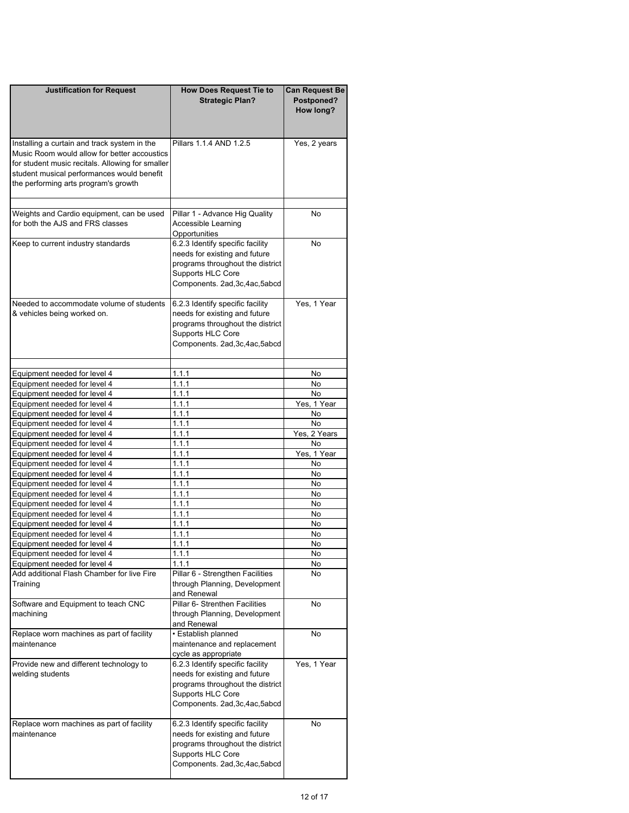| <b>Justification for Request</b>                                                                                                                                                                                                       | <b>How Does Request Tie to</b><br><b>Strategic Plan?</b>                                                                                                      | <b>Can Request Be</b><br>Postponed?<br>How long? |
|----------------------------------------------------------------------------------------------------------------------------------------------------------------------------------------------------------------------------------------|---------------------------------------------------------------------------------------------------------------------------------------------------------------|--------------------------------------------------|
| Installing a curtain and track system in the<br>Music Room would allow for better accoustics<br>for student music recitals. Allowing for smaller<br>student musical performances would benefit<br>the performing arts program's growth | Pillars 1.1.4 AND 1.2.5                                                                                                                                       | Yes, 2 years                                     |
| Weights and Cardio equipment, can be used<br>for both the AJS and FRS classes                                                                                                                                                          | Pillar 1 - Advance Hig Quality<br>Accessible Learning<br>Opportunities                                                                                        | No.                                              |
| Keep to current industry standards                                                                                                                                                                                                     | 6.2.3 Identify specific facility<br>needs for existing and future<br>programs throughout the district<br>Supports HLC Core<br>Components. 2ad, 3c, 4ac, 5abcd | No                                               |
| Needed to accommodate volume of students<br>& vehicles being worked on.                                                                                                                                                                | 6.2.3 Identify specific facility<br>needs for existing and future<br>programs throughout the district<br>Supports HLC Core<br>Components. 2ad, 3c, 4ac, 5abcd | Yes. 1 Year                                      |
|                                                                                                                                                                                                                                        |                                                                                                                                                               |                                                  |
| Equipment needed for level 4                                                                                                                                                                                                           | 1.1.1<br>1.1.1                                                                                                                                                | No.<br><b>No</b>                                 |
| Equipment needed for level 4<br>Equipment needed for level 4                                                                                                                                                                           | 1.1.1                                                                                                                                                         | N <sub>o</sub>                                   |
| Equipment needed for level 4                                                                                                                                                                                                           | 1.1.1                                                                                                                                                         | Yes, 1 Year                                      |
| Equipment needed for level 4                                                                                                                                                                                                           | 1.1.1                                                                                                                                                         | No                                               |
| Equipment needed for level 4                                                                                                                                                                                                           | 1.1.1                                                                                                                                                         | <b>No</b>                                        |
| Equipment needed for level 4                                                                                                                                                                                                           | 1.1.1                                                                                                                                                         | Yes, 2 Years                                     |
| Equipment needed for level 4                                                                                                                                                                                                           | 1.1.1                                                                                                                                                         | No                                               |
| Equipment needed for level 4                                                                                                                                                                                                           | 1.1.1                                                                                                                                                         | Yes, 1 Year                                      |
| Equipment needed for level 4                                                                                                                                                                                                           | 1.1.1                                                                                                                                                         | No                                               |
| Equipment needed for level 4                                                                                                                                                                                                           | 1.1.1                                                                                                                                                         | No.                                              |
| Equipment needed for level 4                                                                                                                                                                                                           | 1.1.1                                                                                                                                                         | No                                               |
| Equipment needed for level 4                                                                                                                                                                                                           | 1.1.1                                                                                                                                                         | No.                                              |
| Equipment needed for level 4                                                                                                                                                                                                           | 1.1.1                                                                                                                                                         | No.                                              |
| Equipment needed for level 4                                                                                                                                                                                                           | 1.1.1                                                                                                                                                         | No.                                              |
| Equipment needed for level 4                                                                                                                                                                                                           | 1.1.1                                                                                                                                                         | No                                               |
| Equipment needed for level 4                                                                                                                                                                                                           | 1.1.1                                                                                                                                                         | No                                               |
| Equipment needed for level 4                                                                                                                                                                                                           | 1.1.1                                                                                                                                                         | No                                               |
| Equipment needed for level 4                                                                                                                                                                                                           | 1.1.1                                                                                                                                                         | No                                               |
| Equipment needed for level 4                                                                                                                                                                                                           | 1.1.1                                                                                                                                                         | No                                               |
| Add additional Flash Chamber for live Fire<br>Training                                                                                                                                                                                 | Pillar 6 - Strengthen Facilities<br>through Planning, Development<br>and Renewal                                                                              | No                                               |
| Software and Equipment to teach CNC<br>machining                                                                                                                                                                                       | Pillar 6- Strenthen Facilities<br>through Planning, Development                                                                                               | No                                               |
| Replace worn machines as part of facility                                                                                                                                                                                              | and Renewal<br>· Establish planned                                                                                                                            | No                                               |
| maintenance                                                                                                                                                                                                                            | maintenance and replacement<br>cycle as appropriate                                                                                                           |                                                  |
| Provide new and different technology to<br>welding students                                                                                                                                                                            | 6.2.3 Identify specific facility<br>needs for existing and future<br>programs throughout the district<br>Supports HLC Core<br>Components. 2ad, 3c, 4ac, 5abcd | Yes, 1 Year                                      |
| Replace worn machines as part of facility<br>maintenance                                                                                                                                                                               | 6.2.3 Identify specific facility<br>needs for existing and future<br>programs throughout the district<br>Supports HLC Core<br>Components. 2ad, 3c, 4ac, 5abcd | No                                               |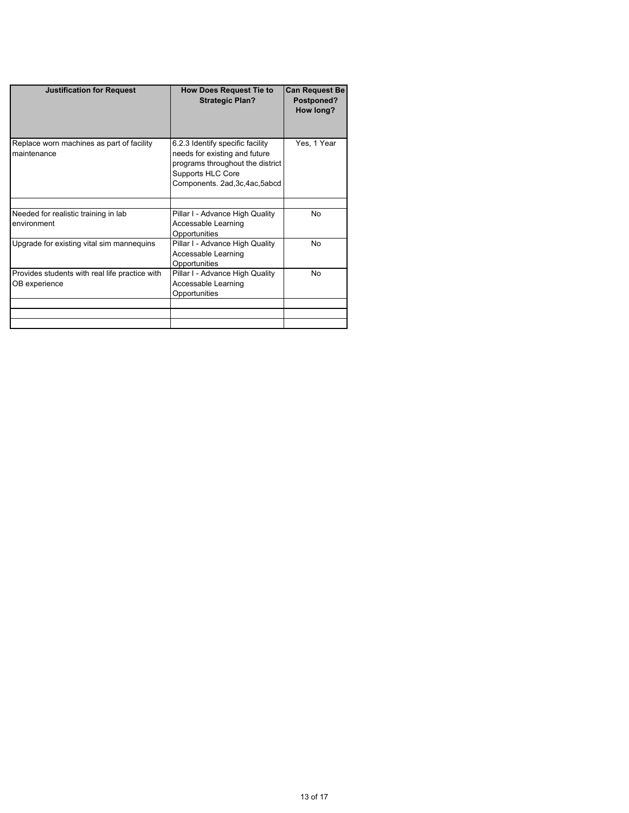| <b>Justification for Request</b>                                | <b>How Does Request Tie to</b><br><b>Strategic Plan?</b>                                                                                                      | <b>Can Request Be</b><br>Postponed?<br>How long? |
|-----------------------------------------------------------------|---------------------------------------------------------------------------------------------------------------------------------------------------------------|--------------------------------------------------|
| Replace worn machines as part of facility<br>maintenance        | 6.2.3 Identify specific facility<br>needs for existing and future<br>programs throughout the district<br>Supports HLC Core<br>Components. 2ad, 3c, 4ac, 5abcd | Yes, 1 Year                                      |
|                                                                 |                                                                                                                                                               | No                                               |
| Needed for realistic training in lab<br>environment             | Pillar I - Advance High Quality<br>Accessable Learning<br>Opportunities                                                                                       |                                                  |
| Upgrade for existing vital sim mannequins                       | Pillar I - Advance High Quality<br>Accessable Learning<br>Opportunities                                                                                       | No                                               |
| Provides students with real life practice with<br>OB experience | Pillar I - Advance High Quality<br>Accessable Learning<br>Opportunities                                                                                       | No                                               |
|                                                                 |                                                                                                                                                               |                                                  |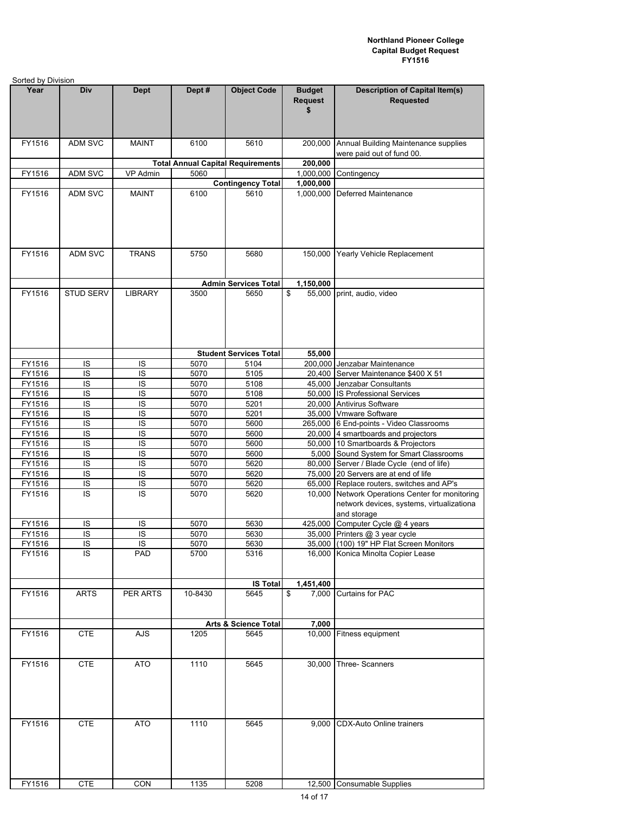| Sorted by Division |                  |                |         |                                          |                                       |                                                                                                      |
|--------------------|------------------|----------------|---------|------------------------------------------|---------------------------------------|------------------------------------------------------------------------------------------------------|
| Year               | Div              | <b>Dept</b>    | Dept#   | <b>Object Code</b>                       | <b>Budget</b><br><b>Request</b><br>\$ | <b>Description of Capital Item(s)</b><br><b>Requested</b>                                            |
| FY1516             | <b>ADM SVC</b>   | <b>MAINT</b>   | 6100    | 5610                                     | 200,000                               | Annual Building Maintenance supplies<br>were paid out of fund 00.                                    |
|                    |                  |                |         | <b>Total Annual Capital Requirements</b> | 200,000                               |                                                                                                      |
| FY1516             | ADM SVC          | VP Admin       | 5060    |                                          | 1,000,000                             | Contingency                                                                                          |
|                    |                  |                |         | <b>Contingency Total</b>                 | 1,000,000                             |                                                                                                      |
| FY1516             | ADM SVC          | <b>MAINT</b>   | 6100    | 5610                                     | 1,000,000                             | <b>Deferred Maintenance</b>                                                                          |
| FY1516             | ADM SVC          | <b>TRANS</b>   | 5750    | 5680                                     | 150,000                               | Yearly Vehicle Replacement                                                                           |
|                    |                  |                |         | <b>Admin Services Total</b>              | 1,150,000                             |                                                                                                      |
| FY1516             | <b>STUD SERV</b> | <b>LIBRARY</b> | 3500    | 5650                                     | \$<br>55,000                          | print, audio, video                                                                                  |
|                    |                  |                |         |                                          |                                       |                                                                                                      |
|                    |                  |                |         | <b>Student Services Total</b>            | 55,000                                |                                                                                                      |
| FY1516             | IS               | IS             | 5070    | 5104                                     |                                       | 200,000 Jenzabar Maintenance                                                                         |
| FY1516             | IS               | IS             | 5070    | 5105                                     | 20,400                                | Server Maintenance \$400 X 51                                                                        |
| FY1516             | IS               | IS             | 5070    | 5108                                     | 45,000                                | Jenzabar Consultants                                                                                 |
| FY1516             | $\overline{1S}$  | IS             | 5070    | 5108                                     |                                       | 50,000 IS Professional Services                                                                      |
| FY1516             | IS               | IS             | 5070    | 5201                                     | 20,000                                | Antivirus Software                                                                                   |
| FY1516             | IS               | IS             | 5070    | 5201                                     |                                       | 35,000   Vmware Software                                                                             |
| FY1516             | IS               | IS             | 5070    | 5600                                     |                                       | 265,000 6 End-points - Video Classrooms                                                              |
| FY1516             | IS               | IS             | 5070    | 5600                                     | 20,000                                | 4 smartboards and projectors                                                                         |
| FY1516             | IS               | IS             | 5070    | 5600                                     |                                       | 50,000 10 Smartboards & Projectors                                                                   |
| FY1516             | IS               | IS             | 5070    | 5600                                     | 5,000                                 | Sound System for Smart Classrooms                                                                    |
| FY1516             | IS               | IS             | 5070    | 5620                                     | 80,000                                | Server / Blade Cycle (end of life)                                                                   |
| FY1516             | $\overline{1S}$  | IS             | 5070    | 5620                                     |                                       | 75,000 20 Servers are at end of life                                                                 |
| FY1516             | IS               | IS             | 5070    | 5620                                     | 65.000                                | Replace routers, switches and AP's                                                                   |
| FY1516             | IS               | IS             | 5070    | 5620                                     | 10.000                                | Network Operations Center for monitoring<br>network devices, systems, virtualizationa<br>and storage |
| FY1516             | IS               | IS             | 5070    | 5630                                     | 425,000                               | Computer Cycle @ 4 years                                                                             |
| FY1516             | $\overline{S}$   | $\overline{S}$ | 5070    | 5630                                     |                                       | 35,000 Printers @ 3 year cycle                                                                       |
| FY1516             | IS               | IS             | 5070    | 5630                                     |                                       | 35,000 (100) 19" HP Flat Screen Monitors                                                             |
| FY1516             | IS               | PAD            | 5700    | 5316                                     |                                       | 16,000 Konica Minolta Copier Lease                                                                   |
|                    |                  |                |         | <b>IS Total</b>                          | 1,451,400                             |                                                                                                      |
| FY1516             | <b>ARTS</b>      | PER ARTS       | 10-8430 | 5645                                     | \$<br>7,000                           | <b>Curtains for PAC</b>                                                                              |
|                    |                  |                |         | <b>Arts &amp; Science Total</b>          | 7,000                                 |                                                                                                      |
| FY1516             | <b>CTE</b>       | AJS            | 1205    | 5645                                     |                                       | 10,000 Fitness equipment                                                                             |
| FY1516             | <b>CTE</b>       | <b>ATO</b>     | 1110    | 5645                                     |                                       | 30,000 Three- Scanners                                                                               |
|                    |                  |                |         |                                          |                                       |                                                                                                      |
| FY1516             | <b>CTE</b>       | <b>ATO</b>     | 1110    | 5645                                     | 9,000                                 | CDX-Auto Online trainers                                                                             |
| FY1516             | <b>CTE</b>       | CON            | 1135    | 5208                                     |                                       | 12,500 Consumable Supplies                                                                           |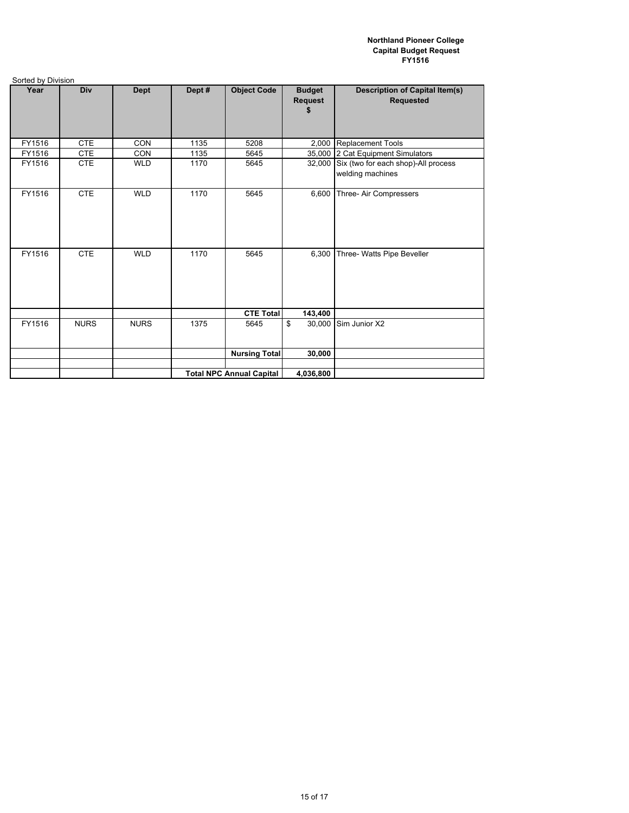| Sorted by Division |             |             |        |                                 |                          |                                                           |
|--------------------|-------------|-------------|--------|---------------------------------|--------------------------|-----------------------------------------------------------|
| Year               | Div         | Dept        | Dept # | <b>Object Code</b>              | <b>Budget</b><br>Request | <b>Description of Capital Item(s)</b><br><b>Requested</b> |
| FY1516             | <b>CTE</b>  | <b>CON</b>  | 1135   | 5208                            | 2,000                    | <b>Replacement Tools</b>                                  |
| FY1516             | <b>CTE</b>  | CON         | 1135   | 5645                            | 35,000                   | 2 Cat Equipment Simulators                                |
| FY1516             | <b>CTE</b>  | <b>WLD</b>  | 1170   | 5645                            | 32,000                   | Six (two for each shop)-All process<br>welding machines   |
| FY1516             | <b>CTE</b>  | <b>WLD</b>  | 1170   | 5645                            | 6,600                    | Three- Air Compressers                                    |
| FY1516             | <b>CTE</b>  | <b>WLD</b>  | 1170   | 5645                            | 6,300                    | Three- Watts Pipe Beveller                                |
|                    |             |             |        | <b>CTE Total</b>                | 143,400                  |                                                           |
| FY1516             | <b>NURS</b> | <b>NURS</b> | 1375   | 5645                            | \$<br>30,000             | Sim Junior X2                                             |
|                    |             |             |        | <b>Nursing Total</b>            | 30,000                   |                                                           |
|                    |             |             |        |                                 |                          |                                                           |
|                    |             |             |        | <b>Total NPC Annual Capital</b> | 4,036,800                |                                                           |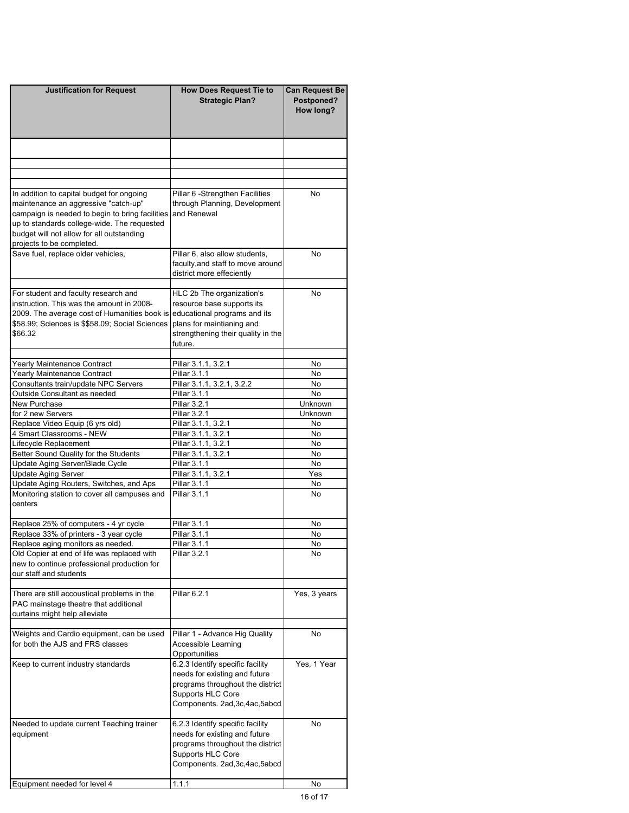| <b>Justification for Request</b>                                                                                                                                                                                                                              | <b>How Does Request Tie to</b><br><b>Strategic Plan?</b>                                                                                                              | <b>Can Request Be</b><br>Postponed?<br>How long? |  |
|---------------------------------------------------------------------------------------------------------------------------------------------------------------------------------------------------------------------------------------------------------------|-----------------------------------------------------------------------------------------------------------------------------------------------------------------------|--------------------------------------------------|--|
|                                                                                                                                                                                                                                                               |                                                                                                                                                                       |                                                  |  |
|                                                                                                                                                                                                                                                               |                                                                                                                                                                       |                                                  |  |
| In addition to capital budget for ongoing<br>maintenance an aggressive "catch-up"<br>campaign is needed to begin to bring facilities<br>up to standards college-wide. The requested<br>budget will not allow for all outstanding<br>projects to be completed. | Pillar 6 - Strengthen Facilities<br>through Planning, Development<br>and Renewal                                                                                      | No                                               |  |
| Save fuel, replace older vehicles,                                                                                                                                                                                                                            | Pillar 6, also allow students,<br>faculty, and staff to move around<br>district more effeciently                                                                      | No                                               |  |
| For student and faculty research and<br>instruction. This was the amount in 2008-<br>2009. The average cost of Humanities book is<br>\$58.99; Sciences is \$\$58.09; Social Sciences<br>\$66.32                                                               | HLC 2b The organization's<br>resource base supports its<br>educational programs and its<br>plans for maintianing and<br>strengthening their quality in the<br>future. | No                                               |  |
| Yearly Maintenance Contract                                                                                                                                                                                                                                   | Pillar 3.1.1, 3.2.1                                                                                                                                                   | No                                               |  |
| Yearly Maintenance Contract                                                                                                                                                                                                                                   | Pillar 3.1.1                                                                                                                                                          | No.                                              |  |
| Consultants train/update NPC Servers<br>Outside Consultant as needed                                                                                                                                                                                          | Pillar 3.1.1, 3.2.1, 3.2.2<br>Pillar 3.1.1                                                                                                                            | No<br>No                                         |  |
| New Purchase                                                                                                                                                                                                                                                  | Pillar 3.2.1                                                                                                                                                          | Unknown                                          |  |
| for 2 new Servers                                                                                                                                                                                                                                             | Pillar 3.2.1                                                                                                                                                          | Unknown                                          |  |
| Replace Video Equip (6 yrs old)                                                                                                                                                                                                                               | Pillar 3.1.1, 3.2.1                                                                                                                                                   | No                                               |  |
| 4 Smart Classrooms - NEW                                                                                                                                                                                                                                      | Pillar 3.1.1, 3.2.1                                                                                                                                                   | No                                               |  |
| Lifecycle Replacement                                                                                                                                                                                                                                         | Pillar 3.1.1, 3.2.1                                                                                                                                                   | No                                               |  |
| Better Sound Quality for the Students                                                                                                                                                                                                                         | Pillar 3.1.1, 3.2.1                                                                                                                                                   | No.                                              |  |
| Update Aging Server/Blade Cycle<br><b>Update Aging Server</b>                                                                                                                                                                                                 | Pillar 3.1.1<br>Pillar 3.1.1, 3.2.1                                                                                                                                   | No<br>Yes                                        |  |
| Update Aging Routers, Switches, and Aps                                                                                                                                                                                                                       | Pillar 3.1.1                                                                                                                                                          | No                                               |  |
| Monitoring station to cover all campuses and<br>centers                                                                                                                                                                                                       | <b>Pillar 3.1.1</b>                                                                                                                                                   | <b>No</b>                                        |  |
| Replace 25% of computers - 4 yr cycle                                                                                                                                                                                                                         | Pillar 3.1.1                                                                                                                                                          | No                                               |  |
| Replace 33% of printers - 3 year cycle                                                                                                                                                                                                                        | Pillar 3.1.1                                                                                                                                                          | No                                               |  |
| Replace aging monitors as needed.                                                                                                                                                                                                                             | Pillar 3.1.1                                                                                                                                                          |                                                  |  |
| Old Copier at end of life was replaced with<br>new to continue professional production for<br>our staff and students                                                                                                                                          | Pillar 3.2.1                                                                                                                                                          | No                                               |  |
| There are still accoustical problems in the<br>PAC mainstage theatre that additional<br>curtains might help alleviate                                                                                                                                         | Pillar 6.2.1                                                                                                                                                          | Yes, 3 years                                     |  |
| Weights and Cardio equipment, can be used<br>for both the AJS and FRS classes                                                                                                                                                                                 | Pillar 1 - Advance Hig Quality<br>Accessible Learning<br>Opportunities                                                                                                | No                                               |  |
| Keep to current industry standards                                                                                                                                                                                                                            | 6.2.3 Identify specific facility<br>needs for existing and future<br>programs throughout the district<br>Supports HLC Core<br>Components. 2ad, 3c, 4ac, 5abcd         | Yes, 1 Year                                      |  |
| Needed to update current Teaching trainer<br>equipment                                                                                                                                                                                                        | 6.2.3 Identify specific facility<br>needs for existing and future<br>programs throughout the district<br>Supports HLC Core<br>Components. 2ad, 3c, 4ac, 5abcd         | No                                               |  |
| Equipment needed for level 4                                                                                                                                                                                                                                  | 1.1.1                                                                                                                                                                 | No                                               |  |